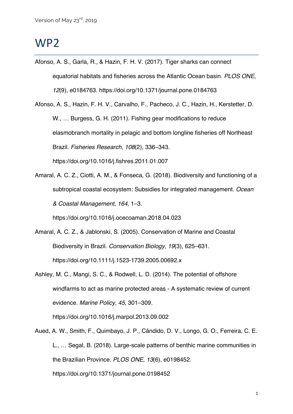## WP2

Afonso, A. S., Garla, R., & Hazin, F. H. V. (2017). Tiger sharks can connect equatorial habitats and fisheries across the Atlantic Ocean basin. *PLOS ONE*, *12*(9), e0184763. https://doi.org/10.1371/journal.pone.0184763

Afonso, A. S., Hazin, F. H. V., Carvalho, F., Pacheco, J. C., Hazin, H., Kerstetter, D. W., … Burgess, G. H. (2011). Fishing gear modifications to reduce elasmobranch mortality in pelagic and bottom longline fisheries off Northeast Brazil. *Fisheries Research*, *108*(2), 336–343. https://doi.org/10.1016/j.fishres.2011.01.007

Amaral, A. C. Z., Ciotti, A. M., & Fonseca, G. (2018). Biodiversity and functioning of a subtropical coastal ecosystem: Subsidies for integrated management. *Ocean & Coastal Management*, *164*, 1–3.

https://doi.org/10.1016/j.ocecoaman.2018.04.023

- Amaral, A. C. Z., & Jablonski, S. (2005). Conservation of Marine and Coastal Biodiversity in Brazil. *Conservation Biology*, *19*(3), 625–631. https://doi.org/10.1111/j.1523-1739.2005.00692.x
- Ashley, M. C., Mangi, S. C., & Rodwell, L. D. (2014). The potential of offshore windfarms to act as marine protected areas - A systematic review of current evidence. *Marine Policy*, *45*, 301–309. https://doi.org/10.1016/j.marpol.2013.09.002
- Aued, A. W., Smith, F., Quimbayo, J. P., Cândido, D. V., Longo, G. O., Ferreira, C. E. L., … Segal, B. (2018). Large-scale patterns of benthic marine communities in the Brazilian Province. *PLOS ONE*, *13*(6), e0198452. https://doi.org/10.1371/journal.pone.0198452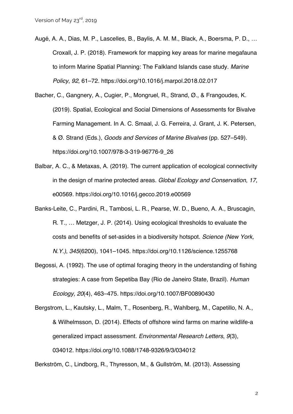- Augé, A. A., Dias, M. P., Lascelles, B., Baylis, A. M. M., Black, A., Boersma, P. D., … Croxall, J. P. (2018). Framework for mapping key areas for marine megafauna to inform Marine Spatial Planning: The Falkland Islands case study. *Marine Policy*, *92*, 61–72. https://doi.org/10.1016/j.marpol.2018.02.017
- Bacher, C., Gangnery, A., Cugier, P., Mongruel, R., Strand, Ø., & Frangoudes, K. (2019). Spatial, Ecological and Social Dimensions of Assessments for Bivalve Farming Management. In A. C. Smaal, J. G. Ferreira, J. Grant, J. K. Petersen, & Ø. Strand (Eds.), *Goods and Services of Marine Bivalves* (pp. 527–549). https://doi.org/10.1007/978-3-319-96776-9\_26
- Balbar, A. C., & Metaxas, A. (2019). The current application of ecological connectivity in the design of marine protected areas. *Global Ecology and Conservation*, *17*, e00569. https://doi.org/10.1016/j.gecco.2019.e00569
- Banks-Leite, C., Pardini, R., Tambosi, L. R., Pearse, W. D., Bueno, A. A., Bruscagin, R. T., … Metzger, J. P. (2014). Using ecological thresholds to evaluate the costs and benefits of set-asides in a biodiversity hotspot. *Science (New York, N.Y.)*, *345*(6200), 1041–1045. https://doi.org/10.1126/science.1255768
- Begossi, A. (1992). The use of optimal foraging theory in the understanding of fishing strategies: A case from Sepetiba Bay (Rio de Janeiro State, Brazil). *Human Ecology*, *20*(4), 463–475. https://doi.org/10.1007/BF00890430
- Bergstrom, L., Kautsky, L., Malm, T., Rosenberg, R., Wahlberg, M., Capetillo, N. A., & Wilhelmsson, D. (2014). Effects of offshore wind farms on marine wildlife-a generalized impact assessment. *Environmental Research Letters*, *9*(3), 034012. https://doi.org/10.1088/1748-9326/9/3/034012

Berkström, C., Lindborg, R., Thyresson, M., & Gullström, M. (2013). Assessing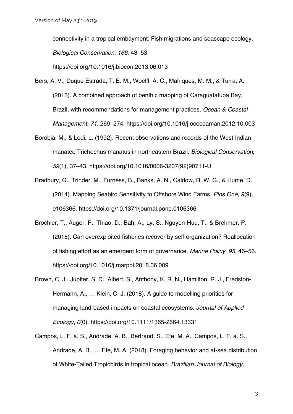connectivity in a tropical embayment: Fish migrations and seascape ecology. *Biological Conservation*, *166*, 43–53.

https://doi.org/10.1016/j.biocon.2013.06.013

- Bers, A. V., Duque Estrada, T. E. M., Woelfl, A. C., Mahiques, M. M., & Turra, A. (2013). A combined approach of benthic mapping of Caraguatatuba Bay, Brazil, with recommendations for management practices. *Ocean & Coastal Management*, *71*, 269–274. https://doi.org/10.1016/j.ocecoaman.2012.10.003
- Borobia, M., & Lodi, L. (1992). Recent observations and records of the West Indian manatee Trichechus manatus in northeastern Brazil. *Biological Conservation*, *59*(1), 37–43. https://doi.org/10.1016/0006-3207(92)90711-U
- Bradbury, G., Trinder, M., Furness, B., Banks, A. N., Caldow, R. W. G., & Hume, D. (2014). Mapping Seabird Sensitivity to Offshore Wind Farms. *Plos One*, *9*(9), e106366. https://doi.org/10.1371/journal.pone.0106366
- Brochier, T., Auger, P., Thiao, D., Bah, A., Ly, S., Nguyen-Huu, T., & Brehmer, P. (2018). Can overexploited fisheries recover by self-organization? Reallocation of fishing effort as an emergent form of governance. *Marine Policy*, *95*, 46–56. https://doi.org/10.1016/j.marpol.2018.06.009
- Brown, C. J., Jupiter, S. D., Albert, S., Anthony, K. R. N., Hamilton, R. J., Fredston‐ Hermann, A., … Klein, C. J. (2018). A guide to modelling priorities for managing land-based impacts on coastal ecosystems. *Journal of Applied Ecology*, *0*(0). https://doi.org/10.1111/1365-2664.13331
- Campos, L. F. a. S., Andrade, A. B., Bertrand, S., Efe, M. A., Campos, L. F. a. S., Andrade, A. B., … Efe, M. A. (2018). Foraging behavior and at-sea distribution of White-Tailed Tropicbirds in tropical ocean. *Brazilian Journal of Biology*,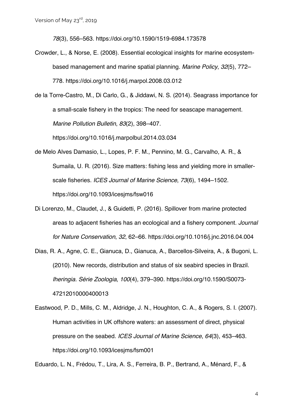*78*(3), 556–563. https://doi.org/10.1590/1519-6984.173578

- Crowder, L., & Norse, E. (2008). Essential ecological insights for marine ecosystembased management and marine spatial planning. *Marine Policy*, *32*(5), 772– 778. https://doi.org/10.1016/j.marpol.2008.03.012
- de la Torre-Castro, M., Di Carlo, G., & Jiddawi, N. S. (2014). Seagrass importance for a small-scale fishery in the tropics: The need for seascape management. *Marine Pollution Bulletin*, *83*(2), 398–407.

https://doi.org/10.1016/j.marpolbul.2014.03.034

- de Melo Alves Damasio, L., Lopes, P. F. M., Pennino, M. G., Carvalho, A. R., & Sumaila, U. R. (2016). Size matters: fishing less and yielding more in smallerscale fisheries. *ICES Journal of Marine Science*, *73*(6), 1494–1502. https://doi.org/10.1093/icesjms/fsw016
- Di Lorenzo, M., Claudet, J., & Guidetti, P. (2016). Spillover from marine protected areas to adjacent fisheries has an ecological and a fishery component. *Journal for Nature Conservation*, *32*, 62–66. https://doi.org/10.1016/j.jnc.2016.04.004
- Dias, R. A., Agne, C. E., Gianuca, D., Gianuca, A., Barcellos-Silveira, A., & Bugoni, L. (2010). New records, distribution and status of six seabird species in Brazil. *Iheringia. Série Zoologia*, *100*(4), 379–390. https://doi.org/10.1590/S0073- 47212010000400013
- Eastwood, P. D., Mills, C. M., Aldridge, J. N., Houghton, C. A., & Rogers, S. I. (2007). Human activities in UK offshore waters: an assessment of direct, physical pressure on the seabed. *ICES Journal of Marine Science*, *64*(3), 453–463. https://doi.org/10.1093/icesjms/fsm001

Eduardo, L. N., Frédou, T., Lira, A. S., Ferreira, B. P., Bertrand, A., Ménard, F., &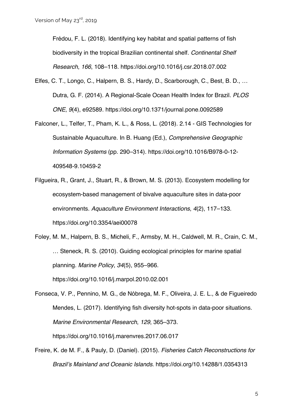Frédou, F. L. (2018). Identifying key habitat and spatial patterns of fish biodiversity in the tropical Brazilian continental shelf. *Continental Shelf Research*, *166*, 108–118. https://doi.org/10.1016/j.csr.2018.07.002

- Elfes, C. T., Longo, C., Halpern, B. S., Hardy, D., Scarborough, C., Best, B. D., … Dutra, G. F. (2014). A Regional-Scale Ocean Health Index for Brazil. *PLOS ONE*, *9*(4), e92589. https://doi.org/10.1371/journal.pone.0092589
- Falconer, L., Telfer, T., Pham, K. L., & Ross, L. (2018). 2.14 GIS Technologies for Sustainable Aquaculture. In B. Huang (Ed.), *Comprehensive Geographic Information Systems* (pp. 290–314). https://doi.org/10.1016/B978-0-12- 409548-9.10459-2
- Filgueira, R., Grant, J., Stuart, R., & Brown, M. S. (2013). Ecosystem modelling for ecosystem-based management of bivalve aquaculture sites in data-poor environments. *Aquaculture Environment Interactions*, *4*(2), 117–133. https://doi.org/10.3354/aei00078
- Foley, M. M., Halpern, B. S., Micheli, F., Armsby, M. H., Caldwell, M. R., Crain, C. M., … Steneck, R. S. (2010). Guiding ecological principles for marine spatial planning. *Marine Policy*, *34*(5), 955–966. https://doi.org/10.1016/j.marpol.2010.02.001

Fonseca, V. P., Pennino, M. G., de Nóbrega, M. F., Oliveira, J. E. L., & de Figueiredo Mendes, L. (2017). Identifying fish diversity hot-spots in data-poor situations. *Marine Environmental Research*, *129*, 365–373. https://doi.org/10.1016/j.marenvres.2017.06.017

Freire, K. de M. F., & Pauly, D. (Daniel). (2015). *Fisheries Catch Reconstructions for Brazil's Mainland and Oceanic Islands*. https://doi.org/10.14288/1.0354313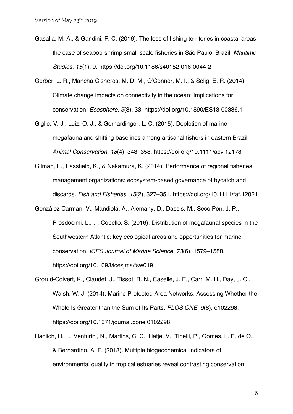- Gasalla, M. A., & Gandini, F. C. (2016). The loss of fishing territories in coastal areas: the case of seabob-shrimp small-scale fisheries in São Paulo, Brazil. *Maritime Studies*, *15*(1), 9. https://doi.org/10.1186/s40152-016-0044-2
- Gerber, L. R., Mancha-Cisneros, M. D. M., O'Connor, M. I., & Selig, E. R. (2014). Climate change impacts on connectivity in the ocean: Implications for conservation. *Ecosphere*, *5*(3), 33. https://doi.org/10.1890/ES13-00336.1
- Giglio, V. J., Luiz, O. J., & Gerhardinger, L. C. (2015). Depletion of marine megafauna and shifting baselines among artisanal fishers in eastern Brazil. *Animal Conservation*, *18*(4), 348–358. https://doi.org/10.1111/acv.12178
- Gilman, E., Passfield, K., & Nakamura, K. (2014). Performance of regional fisheries management organizations: ecosystem-based governance of bycatch and discards. *Fish and Fisheries*, *15*(2), 327–351. https://doi.org/10.1111/faf.12021
- González Carman, V., Mandiola, A., Alemany, D., Dassis, M., Seco Pon, J. P., Prosdocimi, L., … Copello, S. (2016). Distribution of megafaunal species in the Southwestern Atlantic: key ecological areas and opportunities for marine conservation. *ICES Journal of Marine Science*, *73*(6), 1579–1588. https://doi.org/10.1093/icesjms/fsw019
- Grorud-Colvert, K., Claudet, J., Tissot, B. N., Caselle, J. E., Carr, M. H., Day, J. C., … Walsh, W. J. (2014). Marine Protected Area Networks: Assessing Whether the Whole Is Greater than the Sum of Its Parts. *PLOS ONE*, *9*(8), e102298. https://doi.org/10.1371/journal.pone.0102298
- Hadlich, H. L., Venturini, N., Martins, C. C., Hatje, V., Tinelli, P., Gomes, L. E. de O., & Bernardino, A. F. (2018). Multiple biogeochemical indicators of environmental quality in tropical estuaries reveal contrasting conservation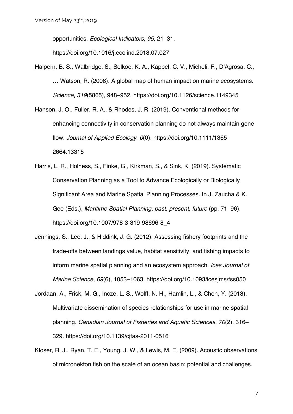opportunities. *Ecological Indicators*, *95*, 21–31.

https://doi.org/10.1016/j.ecolind.2018.07.027

- Halpern, B. S., Walbridge, S., Selkoe, K. A., Kappel, C. V., Micheli, F., D'Agrosa, C., … Watson, R. (2008). A global map of human impact on marine ecosystems. *Science*, *319*(5865), 948–952. https://doi.org/10.1126/science.1149345
- Hanson, J. O., Fuller, R. A., & Rhodes, J. R. (2019). Conventional methods for enhancing connectivity in conservation planning do not always maintain gene flow. *Journal of Applied Ecology*, *0*(0). https://doi.org/10.1111/1365- 2664.13315
- Harris, L. R., Holness, S., Finke, G., Kirkman, S., & Sink, K. (2019). Systematic Conservation Planning as a Tool to Advance Ecologically or Biologically Significant Area and Marine Spatial Planning Processes. In J. Zaucha & K. Gee (Eds.), *Maritime Spatial Planning: past, present, future* (pp. 71–96). https://doi.org/10.1007/978-3-319-98696-8\_4
- Jennings, S., Lee, J., & Hiddink, J. G. (2012). Assessing fishery footprints and the trade-offs between landings value, habitat sensitivity, and fishing impacts to inform marine spatial planning and an ecosystem approach. *Ices Journal of Marine Science*, *69*(6), 1053–1063. https://doi.org/10.1093/icesjms/fss050
- Jordaan, A., Frisk, M. G., Incze, L. S., Wolff, N. H., Hamlin, L., & Chen, Y. (2013). Multivariate dissemination of species relationships for use in marine spatial planning. *Canadian Journal of Fisheries and Aquatic Sciences*, *70*(2), 316– 329. https://doi.org/10.1139/cjfas-2011-0516
- Kloser, R. J., Ryan, T. E., Young, J. W., & Lewis, M. E. (2009). Acoustic observations of micronekton fish on the scale of an ocean basin: potential and challenges.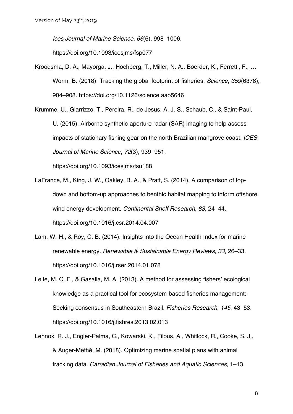*Ices Journal of Marine Science*, *66*(6), 998–1006.

https://doi.org/10.1093/icesjms/fsp077

Kroodsma, D. A., Mayorga, J., Hochberg, T., Miller, N. A., Boerder, K., Ferretti, F., … Worm, B. (2018). Tracking the global footprint of fisheries. *Science*, *359*(6378), 904–908. https://doi.org/10.1126/science.aao5646

Krumme, U., Giarrizzo, T., Pereira, R., de Jesus, A. J. S., Schaub, C., & Saint-Paul, U. (2015). Airborne synthetic-aperture radar (SAR) imaging to help assess impacts of stationary fishing gear on the north Brazilian mangrove coast. *ICES Journal of Marine Science*, *72*(3), 939–951.

https://doi.org/10.1093/icesjms/fsu188

- LaFrance, M., King, J. W., Oakley, B. A., & Pratt, S. (2014). A comparison of topdown and bottom-up approaches to benthic habitat mapping to inform offshore wind energy development. *Continental Shelf Research*, *83*, 24–44. https://doi.org/10.1016/j.csr.2014.04.007
- Lam, W.-H., & Roy, C. B. (2014). Insights into the Ocean Health Index for marine renewable energy. *Renewable & Sustainable Energy Reviews*, *33*, 26–33. https://doi.org/10.1016/j.rser.2014.01.078
- Leite, M. C. F., & Gasalla, M. A. (2013). A method for assessing fishers' ecological knowledge as a practical tool for ecosystem-based fisheries management: Seeking consensus in Southeastern Brazil. *Fisheries Research*, *145*, 43–53. https://doi.org/10.1016/j.fishres.2013.02.013
- Lennox, R. J., Engler-Palma, C., Kowarski, K., Filous, A., Whitlock, R., Cooke, S. J., & Auger-Méthé, M. (2018). Optimizing marine spatial plans with animal tracking data. *Canadian Journal of Fisheries and Aquatic Sciences*, 1–13.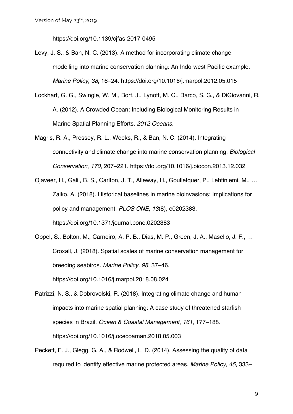https://doi.org/10.1139/cjfas-2017-0495

Levy, J. S., & Ban, N. C. (2013). A method for incorporating climate change modelling into marine conservation planning: An Indo-west Pacific example. *Marine Policy*, *38*, 16–24. https://doi.org/10.1016/j.marpol.2012.05.015

- Lockhart, G. G., Swingle, W. M., Bort, J., Lynott, M. C., Barco, S. G., & DiGiovanni, R. A. (2012). A Crowded Ocean: Including Biological Monitoring Results in Marine Spatial Planning Efforts. *2012 Oceans*.
- Magris, R. A., Pressey, R. L., Weeks, R., & Ban, N. C. (2014). Integrating connectivity and climate change into marine conservation planning. *Biological Conservation*, *170*, 207–221. https://doi.org/10.1016/j.biocon.2013.12.032
- Ojaveer, H., Galil, B. S., Carlton, J. T., Alleway, H., Goulletquer, P., Lehtiniemi, M., … Zaiko, A. (2018). Historical baselines in marine bioinvasions: Implications for policy and management. *PLOS ONE*, *13*(8), e0202383. https://doi.org/10.1371/journal.pone.0202383
- Oppel, S., Bolton, M., Carneiro, A. P. B., Dias, M. P., Green, J. A., Masello, J. F., … Croxall, J. (2018). Spatial scales of marine conservation management for breeding seabirds. *Marine Policy*, *98*, 37–46. https://doi.org/10.1016/j.marpol.2018.08.024
- Patrizzi, N. S., & Dobrovolski, R. (2018). Integrating climate change and human impacts into marine spatial planning: A case study of threatened starfish species in Brazil. *Ocean & Coastal Management*, *161*, 177–188. https://doi.org/10.1016/j.ocecoaman.2018.05.003
- Peckett, F. J., Glegg, G. A., & Rodwell, L. D. (2014). Assessing the quality of data required to identify effective marine protected areas. *Marine Policy*, *45*, 333–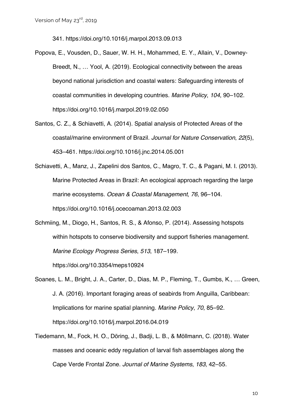341. https://doi.org/10.1016/j.marpol.2013.09.013

- Popova, E., Vousden, D., Sauer, W. H. H., Mohammed, E. Y., Allain, V., Downey-Breedt, N., … Yool, A. (2019). Ecological connectivity between the areas beyond national jurisdiction and coastal waters: Safeguarding interests of coastal communities in developing countries. *Marine Policy*, *104*, 90–102. https://doi.org/10.1016/j.marpol.2019.02.050
- Santos, C. Z., & Schiavetti, A. (2014). Spatial analysis of Protected Areas of the coastal/marine environment of Brazil. *Journal for Nature Conservation*, *22*(5), 453–461. https://doi.org/10.1016/j.jnc.2014.05.001
- Schiavetti, A., Manz, J., Zapelini dos Santos, C., Magro, T. C., & Pagani, M. I. (2013). Marine Protected Areas in Brazil: An ecological approach regarding the large marine ecosystems. *Ocean & Coastal Management*, *76*, 96–104. https://doi.org/10.1016/j.ocecoaman.2013.02.003
- Schmiing, M., Diogo, H., Santos, R. S., & Afonso, P. (2014). Assessing hotspots within hotspots to conserve biodiversity and support fisheries management. *Marine Ecology Progress Series*, *513*, 187–199.

https://doi.org/10.3354/meps10924

- Soanes, L. M., Bright, J. A., Carter, D., Dias, M. P., Fleming, T., Gumbs, K., … Green, J. A. (2016). Important foraging areas of seabirds from Anguilla, Caribbean: Implications for marine spatial planning. *Marine Policy*, *70*, 85–92. https://doi.org/10.1016/j.marpol.2016.04.019
- Tiedemann, M., Fock, H. O., Döring, J., Badji, L. B., & Möllmann, C. (2018). Water masses and oceanic eddy regulation of larval fish assemblages along the Cape Verde Frontal Zone. *Journal of Marine Systems*, *183*, 42–55.